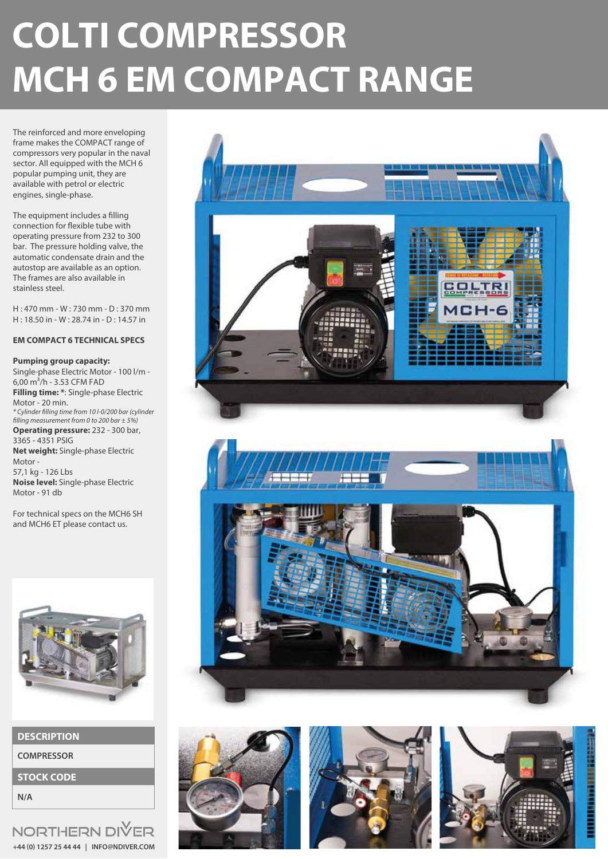# **COLTI COMPRESSOR MCH 6 EM COMPACT RANGE**

The reinforced and more enveloping frame makes the COMPACT range of compressors very popular in the naval sector. All equipped with the MCH 6 popular pumping unit, they are available with petrol or electric engines, single-phase.

The equipment includes a filling connection for flexible tube with operating pressure from 232 to 300 bar. The pressure holding valve, the automatic condensate drain and the autostop are available as an option. The frames are also available in stainless steel.

H : 470 mm - W : 730 mm - D : 370 mm H : 18.50 in - W : 28.74 in - D : 14.57 in

#### **EM COMPACT 6 TECHNICAL SPECS**

#### **Pumping group capacity:**

Single-phase Electric Motor - 100 l/m -  $6,00 \text{ m}^3/h$  - 3.53 CFM FAD **Filling time: \***: Single-phase Electric Motor - 20 min. *\* Cylinder lling time from 10 l-0/200 bar (cylinder lling measurement from 0 to 200 bar ± 5%)* **Operating pressure:** 232 - 300 bar, 3365 - 4351 PSIG **Net weight:** Single-phase Electric Motor - 57,1 kg - 126 Lbs **Noise level:** Single-phase Electric Motor - 91 db

For technical specs on the MCH6 SH and MCH6 ET please contact us.



| <b>DESCRIPTION</b> |  |  |
|--------------------|--|--|
|                    |  |  |

**COMPRESSOR**

**STOCK CODE**

**N/A**

NORTHERN DIVER **+44 (0) 1257 25 44 44 | INFO@NDIVER.COM**







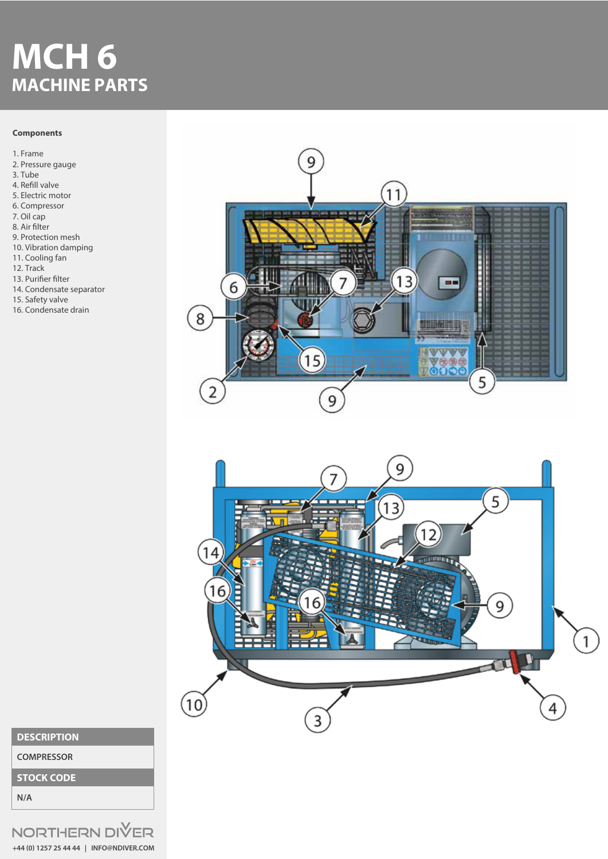## **MCH 6 MACHINE PARTS**

#### **Components**

1. Frame 2. Pressure gauge 3. Tube 4. Refill valve 5. Electric motor 6. Compressor 7. Oil cap 8. Air filter 9. Protection mesh

- 10. Vibration damping
- 11. Cooling fan
- 12. Track
- 13. Purifier filter
- 14. Condensate separator
- 15. Safety valve
- 16. Condensate drain





### **DESCRIPTION**

**COMPRESSOR**

**STOCK CODE**

**N/A**

NORTHERN DIVER **+44 (0) 1257 25 44 44 | INFO@NDIVER.COM**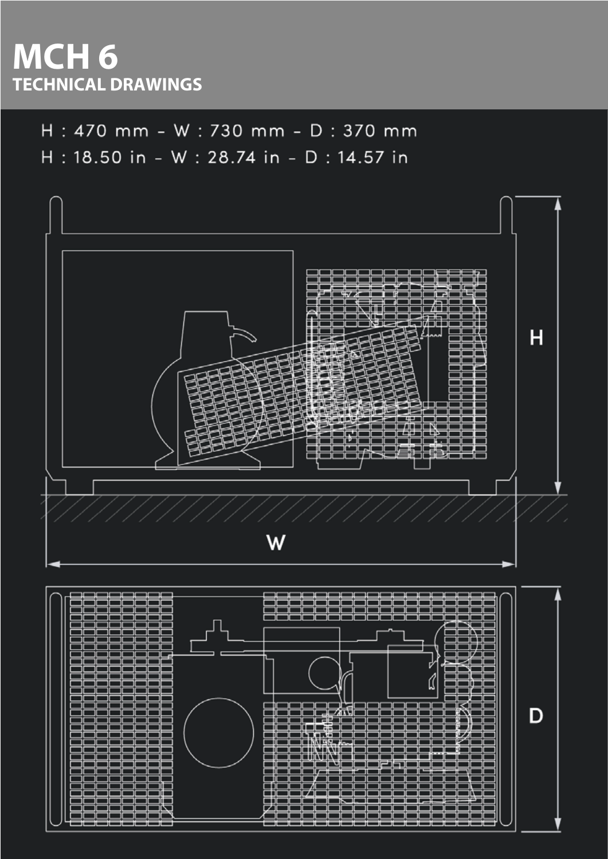### **MCH 6 TECHNICAL DRAWINGS**

H: 470 mm - W: 730 mm - D: 370 mm

H: 18.50 in - W: 28.74 in - D: 14.57 in